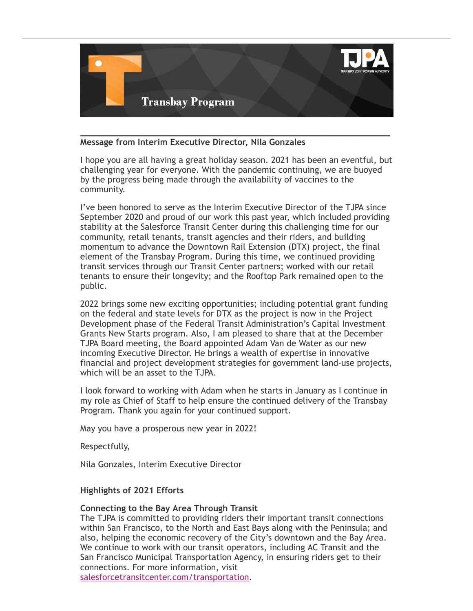

# **Message from Interim Executive Director, Nila Gonzales**

I hope you are all having a great holiday season. 2021 has been an eventful, but challenging year for everyone. With the pandemic continuing, we are buoyed by the progress being made through the availability of vaccines to the community.

\_\_\_\_\_\_\_\_\_\_\_\_\_\_\_\_\_\_\_\_\_\_\_\_\_\_\_\_\_\_\_\_\_\_\_\_\_\_\_\_\_\_\_\_\_\_\_\_\_\_\_\_\_\_\_\_\_\_\_\_\_\_\_\_\_\_\_\_\_\_\_\_\_\_\_\_\_\_\_\_\_\_\_\_\_

I've been honored to serve as the Interim Executive Director of the TJPA since September 2020 and proud of our work this past year, which included providing stability at the Salesforce Transit Center during this challenging time for our community, retail tenants, transit agencies and their riders, and building momentum to advance the Downtown Rail Extension (DTX) project, the final element of the Transbay Program. During this time, we continued providing transit services through our Transit Center partners; worked with our retail tenants to ensure their longevity; and the Rooftop Park remained open to the public.

2022 brings some new exciting opportunities; including potential grant funding on the federal and state levels for DTX as the project is now in the Project Development phase of the Federal Transit Administration's Capital Investment Grants New Starts program. Also, I am pleased to share that at the December TJPA Board meeting, the Board appointed Adam Van de Water as our new incoming Executive Director. He brings a wealth of expertise in innovative financial and project development strategies for government land-use projects, which will be an asset to the TJPA.

I look forward to working with Adam when he starts in January as I continue in my role as Chief of Staff to help ensure the continued delivery of the Transbay Program. Thank you again for your continued support.

May you have a prosperous new year in 2022!

Respectfully,

Nila Gonzales, Interim Executive Director

# **Highlights of 2021 Efforts**

#### **Connecting to the Bay Area Through Transit**

The TJPA is committed to providing riders their important transit connections within San Francisco, to the North and East Bays along with the Peninsula; and also, helping the economic recovery of the City's downtown and the Bay Area. We continue to work with our transit operators, including AC Transit and the San Francisco Municipal Transportation Agency, in ensuring riders get to their connections. For more information, visit

[salesforcetransitcenter.com/transportation](https://click.icptrack.com/icp/rclick.php?cid=508430&mid=918259&destination=https%3A%2F%2Flinkprotect.cudasvc.com%2Furl%3Fa%3Dhttps%253a%252f%252fsalesforcetransitcenter.com%252ftransportation%252f%26c%3DE%2C1%2Cjq10X8fO_PcL-OEaGPSbXMEi2pN0wPaRG-1e5pYJszC8Oxjfx1smvIMpBuLAcP0qOEvjVHOlYgaj1XFAqmaWGv00asmyQG9LtGyBF0otuvU9ukjOboahzLerPykc%26typo%3D1&cfid=13728&vh=1a33b67ba555a7bb7c3ae9860ff007a1493c6d0075020fd4df13606e02f6cc64).